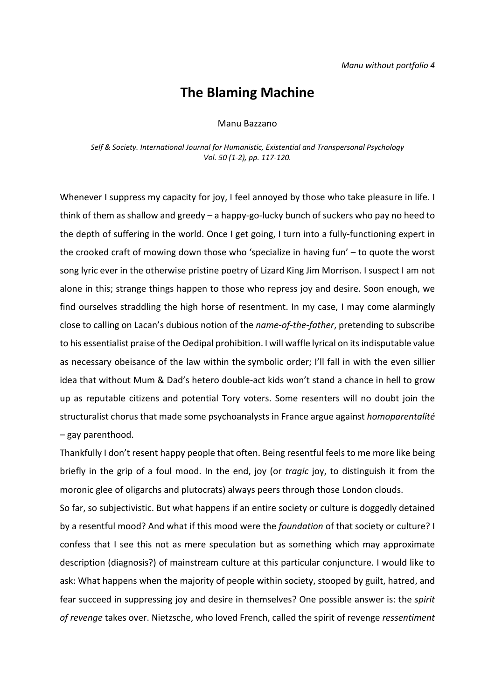## **The Blaming Machine**

## Manu Bazzano

*Self & Society. International Journal for Humanistic, Existential and Transpersonal Psychology Vol. 50 (1-2), pp. 117-120.*

Whenever I suppress my capacity for joy, I feel annoyed by those who take pleasure in life. I think of them as shallow and greedy – a happy-go-lucky bunch of suckers who pay no heed to the depth of suffering in the world. Once I get going, I turn into a fully-functioning expert in the crooked craft of mowing down those who 'specialize in having fun' – to quote the worst song lyric ever in the otherwise pristine poetry of Lizard King Jim Morrison. I suspect I am not alone in this; strange things happen to those who repress joy and desire. Soon enough, we find ourselves straddling the high horse of resentment. In my case, I may come alarmingly close to calling on Lacan's dubious notion of the *name-of-the-father*, pretending to subscribe to his essentialist praise of the Oedipal prohibition. I will waffle lyrical on its indisputable value as necessary obeisance of the law within the symbolic order; I'll fall in with the even sillier idea that without Mum & Dad's hetero double-act kids won't stand a chance in hell to grow up as reputable citizens and potential Tory voters. Some resenters will no doubt join the structuralist chorus that made some psychoanalysts in France argue against *homoparentalité* – gay parenthood.

Thankfully I don't resent happy people that often. Being resentful feels to me more like being briefly in the grip of a foul mood. In the end, joy (or *tragic* joy, to distinguish it from the moronic glee of oligarchs and plutocrats) always peers through those London clouds.

So far, so subjectivistic. But what happens if an entire society or culture is doggedly detained by a resentful mood? And what if this mood were the *foundation* of that society or culture? I confess that I see this not as mere speculation but as something which may approximate description (diagnosis?) of mainstream culture at this particular conjuncture. I would like to ask: What happens when the majority of people within society, stooped by guilt, hatred, and fear succeed in suppressing joy and desire in themselves? One possible answer is: the *spirit of revenge* takes over. Nietzsche, who loved French, called the spirit of revenge *ressentiment*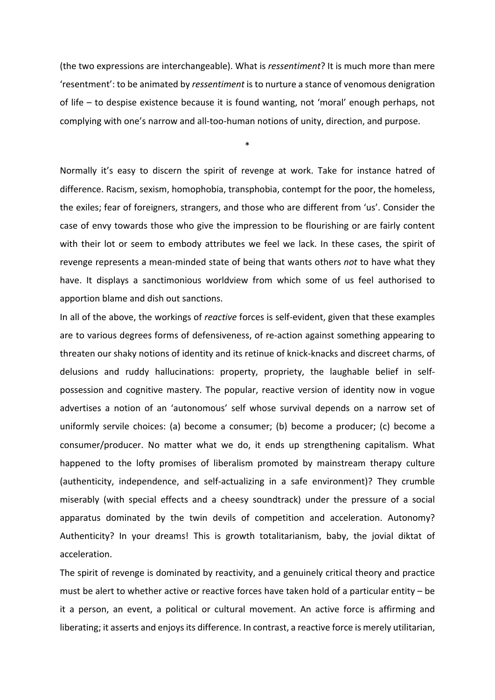(the two expressions are interchangeable). What is *ressentiment*? It is much more than mere 'resentment': to be animated by *ressentiment* is to nurture a stance of venomous denigration of life – to despise existence because it is found wanting, not 'moral' enough perhaps, not complying with one's narrow and all-too-human notions of unity, direction, and purpose.

\*

Normally it's easy to discern the spirit of revenge at work. Take for instance hatred of difference. Racism, sexism, homophobia, transphobia, contempt for the poor, the homeless, the exiles; fear of foreigners, strangers, and those who are different from 'us'. Consider the case of envy towards those who give the impression to be flourishing or are fairly content with their lot or seem to embody attributes we feel we lack. In these cases, the spirit of revenge represents a mean-minded state of being that wants others *not* to have what they have. It displays a sanctimonious worldview from which some of us feel authorised to apportion blame and dish out sanctions.

In all of the above, the workings of *reactive* forces is self-evident, given that these examples are to various degrees forms of defensiveness, of re-action against something appearing to threaten our shaky notions of identity and its retinue of knick-knacks and discreet charms, of delusions and ruddy hallucinations: property, propriety, the laughable belief in selfpossession and cognitive mastery. The popular, reactive version of identity now in vogue advertises a notion of an 'autonomous' self whose survival depends on a narrow set of uniformly servile choices: (a) become a consumer; (b) become a producer; (c) become a consumer/producer. No matter what we do, it ends up strengthening capitalism. What happened to the lofty promises of liberalism promoted by mainstream therapy culture (authenticity, independence, and self-actualizing in a safe environment)? They crumble miserably (with special effects and a cheesy soundtrack) under the pressure of a social apparatus dominated by the twin devils of competition and acceleration. Autonomy? Authenticity? In your dreams! This is growth totalitarianism, baby, the jovial diktat of acceleration.

The spirit of revenge is dominated by reactivity, and a genuinely critical theory and practice must be alert to whether active or reactive forces have taken hold of a particular entity – be it a person, an event, a political or cultural movement. An active force is affirming and liberating; it asserts and enjoys its difference. In contrast, a reactive force is merely utilitarian,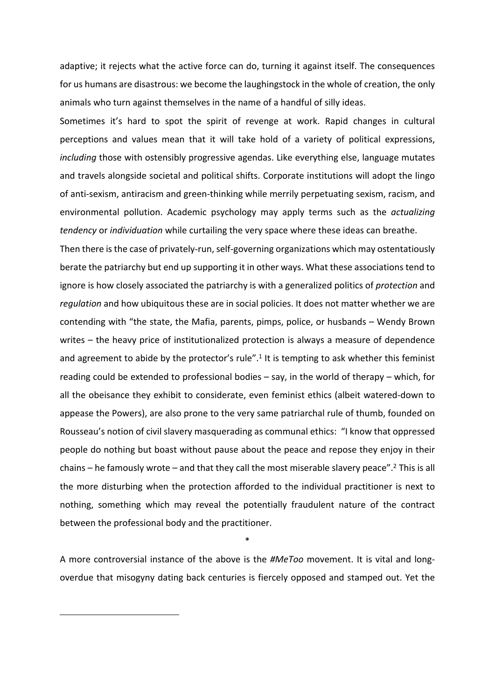adaptive; it rejects what the active force can do, turning it against itself. The consequences for us humans are disastrous: we become the laughingstock in the whole of creation, the only animals who turn against themselves in the name of a handful of silly ideas.

Sometimes it's hard to spot the spirit of revenge at work. Rapid changes in cultural perceptions and values mean that it will take hold of a variety of political expressions, *including* those with ostensibly progressive agendas. Like everything else, language mutates and travels alongside societal and political shifts. Corporate institutions will adopt the lingo of anti-sexism, antiracism and green-thinking while merrily perpetuating sexism, racism, and environmental pollution. Academic psychology may apply terms such as the *actualizing tendency* or *individuation* while curtailing the very space where these ideas can breathe.

Then there is the case of privately-run, self-governing organizations which may ostentatiously berate the patriarchy but end up supporting it in other ways. What these associations tend to ignore is how closely associated the patriarchy is with a generalized politics of *protection* and *regulation* and how ubiquitous these are in social policies. It does not matter whether we are contending with "the state, the Mafia, parents, pimps, police, or husbands – Wendy Brown writes – the heavy price of institutionalized protection is always a measure of dependence and agreement to abide by the protector's rule".<sup>1</sup> It is tempting to ask whether this feminist reading could be extended to professional bodies – say, in the world of therapy – which, for all the obeisance they exhibit to considerate, even feminist ethics (albeit watered-down to appease the Powers), are also prone to the very same patriarchal rule of thumb, founded on Rousseau's notion of civil slavery masquerading as communal ethics: "I know that oppressed people do nothing but boast without pause about the peace and repose they enjoy in their chains - he famously wrote - and that they call the most miserable slavery peace".<sup>2</sup> This is all the more disturbing when the protection afforded to the individual practitioner is next to nothing, something which may reveal the potentially fraudulent nature of the contract between the professional body and the practitioner.

\*

A more controversial instance of the above is the *#MeToo* movement. It is vital and longoverdue that misogyny dating back centuries is fiercely opposed and stamped out. Yet the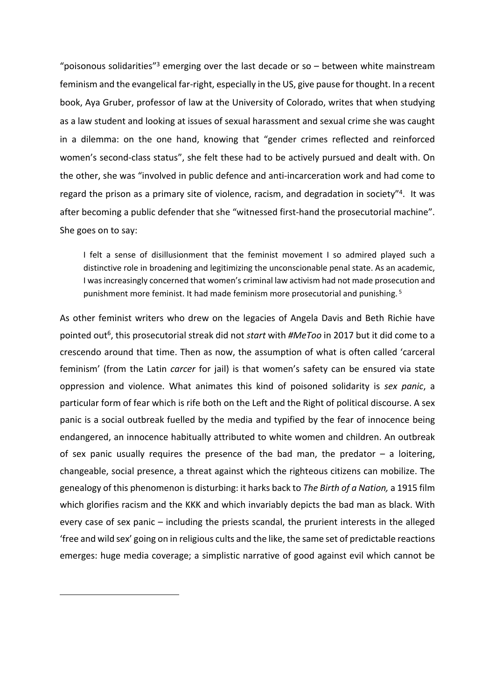"poisonous solidarities"<sup>3</sup> emerging over the last decade or so  $-$  between white mainstream feminism and the evangelical far-right, especially in the US, give pause for thought. In a recent book, Aya Gruber, professor of law at the University of Colorado, writes that when studying as a law student and looking at issues of sexual harassment and sexual crime she was caught in a dilemma: on the one hand, knowing that "gender crimes reflected and reinforced women's second-class status", she felt these had to be actively pursued and dealt with. On the other, she was "involved in public defence and anti-incarceration work and had come to regard the prison as a primary site of violence, racism, and degradation in society"<sup>4</sup>. It was after becoming a public defender that she "witnessed first-hand the prosecutorial machine". She goes on to say:

I felt a sense of disillusionment that the feminist movement I so admired played such a distinctive role in broadening and legitimizing the unconscionable penal state. As an academic, I was increasingly concerned that women's criminal law activism had not made prosecution and punishment more feminist. It had made feminism more prosecutorial and punishing.<sup>5</sup>

As other feminist writers who drew on the legacies of Angela Davis and Beth Richie have pointed out<sup>6</sup>, this prosecutorial streak did not *start* with #MeToo in 2017 but it did come to a crescendo around that time. Then as now, the assumption of what is often called 'carceral feminism' (from the Latin *carcer* for jail) is that women's safety can be ensured via state oppression and violence. What animates this kind of poisoned solidarity is *sex panic*, a particular form of fear which is rife both on the Left and the Right of political discourse. A sex panic is a social outbreak fuelled by the media and typified by the fear of innocence being endangered, an innocence habitually attributed to white women and children. An outbreak of sex panic usually requires the presence of the bad man, the predator  $-$  a loitering, changeable, social presence, a threat against which the righteous citizens can mobilize. The genealogy of this phenomenon is disturbing: it harks back to *The Birth of a Nation,* a 1915 film which glorifies racism and the KKK and which invariably depicts the bad man as black. With every case of sex panic – including the priests scandal, the prurient interests in the alleged 'free and wild sex' going on in religious cults and the like, the same set of predictable reactions emerges: huge media coverage; a simplistic narrative of good against evil which cannot be